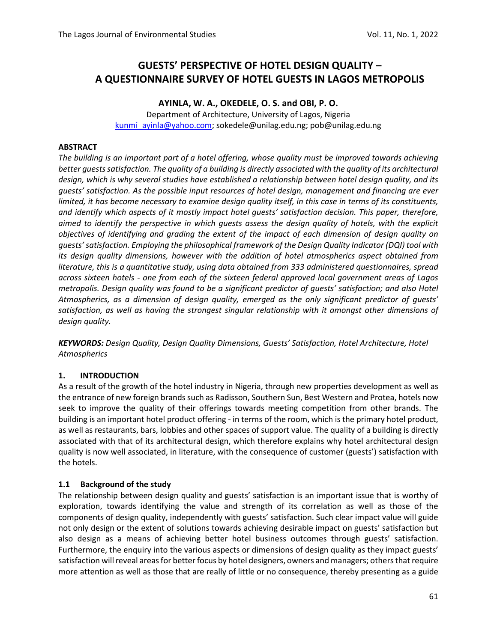# **GUESTS' PERSPECTIVE OF HOTEL DESIGN QUALITY – A QUESTIONNAIRE SURVEY OF HOTEL GUESTS IN LAGOS METROPOLIS**

#### **AYINLA, W. A., OKEDELE, O. S. and OBI, P. O.**

Department of Architecture, University of Lagos, Nigeria kunmi\_ayinla@yahoo.com; sokedele@unilag.edu.ng; pob@unilag.edu.ng

#### **ABSTRACT**

*The building is an important part of a hotel offering, whose quality must be improved towards achieving better guests satisfaction. The quality of a building is directly associated with the quality of its architectural design, which is why several studies have established a relationship between hotel design quality, and its guests' satisfaction. As the possible input resources of hotel design, management and financing are ever limited, it has become necessary to examine design quality itself, in this case in terms of its constituents, and identify which aspects of it mostly impact hotel guests' satisfaction decision. This paper, therefore, aimed to identify the perspective in which guests assess the design quality of hotels, with the explicit objectives of identifying and grading the extent of the impact of each dimension of design quality on guests' satisfaction. Employing the philosophical framework of the Design Quality Indicator (DQI) tool with its design quality dimensions, however with the addition of hotel atmospherics aspect obtained from literature, this is a quantitative study, using data obtained from 333 administered questionnaires, spread across sixteen hotels - one from each of the sixteen federal approved local government areas of Lagos metropolis. Design quality was found to be a significant predictor of guests' satisfaction; and also Hotel Atmospherics, as a dimension of design quality, emerged as the only significant predictor of guests' satisfaction, as well as having the strongest singular relationship with it amongst other dimensions of design quality.* 

*KEYWORDS: Design Quality, Design Quality Dimensions, Guests' Satisfaction, Hotel Architecture, Hotel Atmospherics* 

#### **1. INTRODUCTION**

As a result of the growth of the hotel industry in Nigeria, through new properties development as well as the entrance of new foreign brands such as Radisson, Southern Sun, Best Western and Protea, hotels now seek to improve the quality of their offerings towards meeting competition from other brands. The building is an important hotel product offering - in terms of the room, which is the primary hotel product, as well as restaurants, bars, lobbies and other spaces of support value. The quality of a building is directly associated with that of its architectural design, which therefore explains why hotel architectural design quality is now well associated, in literature, with the consequence of customer (guests') satisfaction with the hotels.

#### **1.1 Background of the study**

The relationship between design quality and guests' satisfaction is an important issue that is worthy of exploration, towards identifying the value and strength of its correlation as well as those of the components of design quality, independently with guests' satisfaction. Such clear impact value will guide not only design or the extent of solutions towards achieving desirable impact on guests' satisfaction but also design as a means of achieving better hotel business outcomes through guests' satisfaction. Furthermore, the enquiry into the various aspects or dimensions of design quality as they impact guests' satisfaction will reveal areas for better focus by hotel designers, owners and managers; others that require more attention as well as those that are really of little or no consequence, thereby presenting as a guide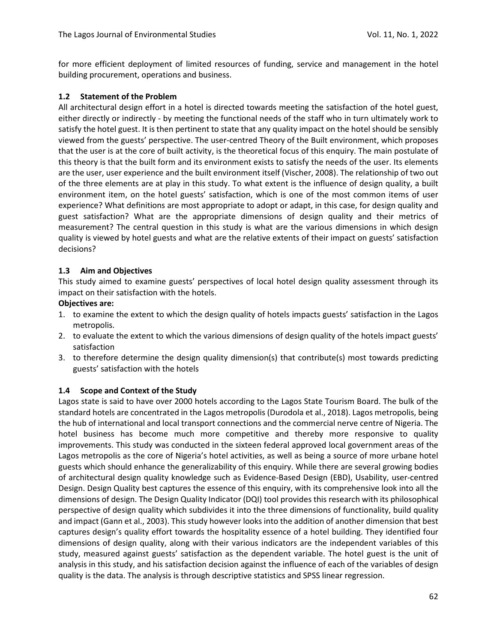for more efficient deployment of limited resources of funding, service and management in the hotel building procurement, operations and business.

#### **1.2 Statement of the Problem**

All architectural design effort in a hotel is directed towards meeting the satisfaction of the hotel guest, either directly or indirectly - by meeting the functional needs of the staff who in turn ultimately work to satisfy the hotel guest. It is then pertinent to state that any quality impact on the hotel should be sensibly viewed from the guests' perspective. The user-centred Theory of the Built environment, which proposes that the user is at the core of built activity, is the theoretical focus of this enquiry. The main postulate of this theory is that the built form and its environment exists to satisfy the needs of the user. Its elements are the user, user experience and the built environment itself (Vischer, 2008). The relationship of two out of the three elements are at play in this study. To what extent is the influence of design quality, a built environment item, on the hotel guests' satisfaction, which is one of the most common items of user experience? What definitions are most appropriate to adopt or adapt, in this case, for design quality and guest satisfaction? What are the appropriate dimensions of design quality and their metrics of measurement? The central question in this study is what are the various dimensions in which design quality is viewed by hotel guests and what are the relative extents of their impact on guests' satisfaction decisions?

## **1.3 Aim and Objectives**

This study aimed to examine guests' perspectives of local hotel design quality assessment through its impact on their satisfaction with the hotels.

#### **Objectives are:**

- 1. to examine the extent to which the design quality of hotels impacts guests' satisfaction in the Lagos metropolis.
- 2. to evaluate the extent to which the various dimensions of design quality of the hotels impact guests' satisfaction
- 3. to therefore determine the design quality dimension(s) that contribute(s) most towards predicting guests' satisfaction with the hotels

## **1.4 Scope and Context of the Study**

Lagos state is said to have over 2000 hotels according to the Lagos State Tourism Board. The bulk of the standard hotels are concentrated in the Lagos metropolis (Durodola et al., 2018). Lagos metropolis, being the hub of international and local transport connections and the commercial nerve centre of Nigeria. The hotel business has become much more competitive and thereby more responsive to quality improvements. This study was conducted in the sixteen federal approved local government areas of the Lagos metropolis as the core of Nigeria's hotel activities, as well as being a source of more urbane hotel guests which should enhance the generalizability of this enquiry. While there are several growing bodies of architectural design quality knowledge such as Evidence-Based Design (EBD), Usability, user-centred Design. Design Quality best captures the essence of this enquiry, with its comprehensive look into all the dimensions of design. The Design Quality Indicator (DQI) tool provides this research with its philosophical perspective of design quality which subdivides it into the three dimensions of functionality, build quality and impact (Gann et al., 2003). This study however looks into the addition of another dimension that best captures design's quality effort towards the hospitality essence of a hotel building. They identified four dimensions of design quality, along with their various indicators are the independent variables of this study, measured against guests' satisfaction as the dependent variable. The hotel guest is the unit of analysis in this study, and his satisfaction decision against the influence of each of the variables of design quality is the data. The analysis is through descriptive statistics and SPSS linear regression.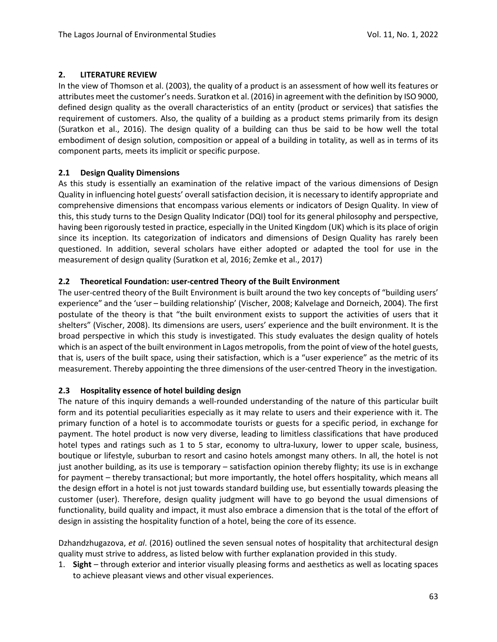## **2. LITERATURE REVIEW**

In the view of Thomson et al. (2003), the quality of a product is an assessment of how well its features or attributes meet the customer's needs. Suratkon et al. (2016) in agreement with the definition by ISO 9000, defined design quality as the overall characteristics of an entity (product or services) that satisfies the requirement of customers. Also, the quality of a building as a product stems primarily from its design (Suratkon et al., 2016). The design quality of a building can thus be said to be how well the total embodiment of design solution, composition or appeal of a building in totality, as well as in terms of its component parts, meets its implicit or specific purpose.

## **2.1 Design Quality Dimensions**

As this study is essentially an examination of the relative impact of the various dimensions of Design Quality in influencing hotel guests' overall satisfaction decision, it is necessary to identify appropriate and comprehensive dimensions that encompass various elements or indicators of Design Quality. In view of this, this study turns to the Design Quality Indicator (DQI) tool for its general philosophy and perspective, having been rigorously tested in practice, especially in the United Kingdom (UK) which is its place of origin since its inception. Its categorization of indicators and dimensions of Design Quality has rarely been questioned. In addition, several scholars have either adopted or adapted the tool for use in the measurement of design quality (Suratkon et al, 2016; Zemke et al., 2017)

#### **2.2 Theoretical Foundation: user-centred Theory of the Built Environment**

The user-centred theory of the Built Environment is built around the two key concepts of "building users' experience" and the 'user – building relationship' (Vischer, 2008; Kalvelage and Dorneich, 2004). The first postulate of the theory is that "the built environment exists to support the activities of users that it shelters" (Vischer, 2008). Its dimensions are users, users' experience and the built environment. It is the broad perspective in which this study is investigated. This study evaluates the design quality of hotels which is an aspect of the built environment in Lagos metropolis, from the point of view of the hotel guests, that is, users of the built space, using their satisfaction, which is a "user experience" as the metric of its measurement. Thereby appointing the three dimensions of the user-centred Theory in the investigation.

## **2.3 Hospitality essence of hotel building design**

The nature of this inquiry demands a well-rounded understanding of the nature of this particular built form and its potential peculiarities especially as it may relate to users and their experience with it. The primary function of a hotel is to accommodate tourists or guests for a specific period, in exchange for payment. The hotel product is now very diverse, leading to limitless classifications that have produced hotel types and ratings such as 1 to 5 star, economy to ultra-luxury, lower to upper scale, business, boutique or lifestyle, suburban to resort and casino hotels amongst many others. In all, the hotel is not just another building, as its use is temporary – satisfaction opinion thereby flighty; its use is in exchange for payment – thereby transactional; but more importantly, the hotel offers hospitality, which means all the design effort in a hotel is not just towards standard building use, but essentially towards pleasing the customer (user). Therefore, design quality judgment will have to go beyond the usual dimensions of functionality, build quality and impact, it must also embrace a dimension that is the total of the effort of design in assisting the hospitality function of a hotel, being the core of its essence.

Dzhandzhugazova, *et al*. (2016) outlined the seven sensual notes of hospitality that architectural design quality must strive to address, as listed below with further explanation provided in this study.

1. **Sight** *–* through exterior and interior visually pleasing forms and aesthetics as well as locating spaces to achieve pleasant views and other visual experiences.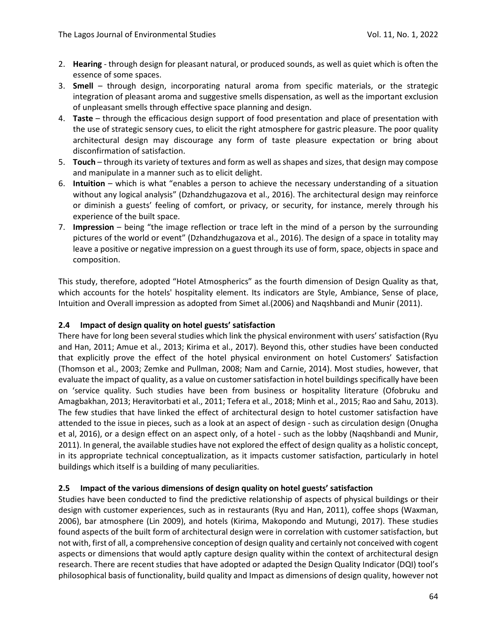- 2. **Hearing**  through design for pleasant natural, or produced sounds, as well as quiet which is often the essence of some spaces.
- 3. **Smell**  through design, incorporating natural aroma from specific materials, or the strategic integration of pleasant aroma and suggestive smells dispensation, as well as the important exclusion of unpleasant smells through effective space planning and design.
- 4. **Taste** through the efficacious design support of food presentation and place of presentation with the use of strategic sensory cues, to elicit the right atmosphere for gastric pleasure. The poor quality architectural design may discourage any form of taste pleasure expectation or bring about disconfirmation of satisfaction.
- 5. **Touch** through its variety of textures and form as well as shapes and sizes, that design may compose and manipulate in a manner such as to elicit delight.
- 6. **Intuition** which is what "enables a person to achieve the necessary understanding of a situation without any logical analysis" (Dzhandzhugazova et al., 2016). The architectural design may reinforce or diminish a guests' feeling of comfort, or privacy, or security, for instance, merely through his experience of the built space.
- 7. **Impression** being "the image reflection or trace left in the mind of a person by the surrounding pictures of the world or event" (Dzhandzhugazova et al., 2016). The design of a space in totality may leave a positive or negative impression on a guest through its use of form, space, objects in space and composition.

This study, therefore, adopted "Hotel Atmospherics" as the fourth dimension of Design Quality as that, which accounts for the hotels' hospitality element. Its indicators are Style, Ambiance, Sense of place, Intuition and Overall impression as adopted from Simet al.(2006) and Naqshbandi and Munir (2011).

#### **2.4 Impact of design quality on hotel guests' satisfaction**

There have for long been several studies which link the physical environment with users' satisfaction (Ryu and Han, 2011; Amue et al., 2013; Kirima et al., 2017). Beyond this, other studies have been conducted that explicitly prove the effect of the hotel physical environment on hotel Customers' Satisfaction (Thomson et al., 2003; Zemke and Pullman, 2008; Nam and Carnie, 2014). Most studies, however, that evaluate the impact of quality, as a value on customer satisfaction in hotel buildings specifically have been on 'service quality. Such studies have been from business or hospitality literature (Ofobruku and Amagbakhan, 2013; Heravitorbati et al., 2011; Tefera et al., 2018; Minh et al., 2015; Rao and Sahu, 2013). The few studies that have linked the effect of architectural design to hotel customer satisfaction have attended to the issue in pieces, such as a look at an aspect of design - such as circulation design (Onugha et al, 2016), or a design effect on an aspect only, of a hotel - such as the lobby (Naqshbandi and Munir, 2011). In general, the available studies have not explored the effect of design quality as a holistic concept, in its appropriate technical conceptualization, as it impacts customer satisfaction, particularly in hotel buildings which itself is a building of many peculiarities.

## **2.5 Impact of the various dimensions of design quality on hotel guests' satisfaction**

Studies have been conducted to find the predictive relationship of aspects of physical buildings or their design with customer experiences, such as in restaurants (Ryu and Han, 2011), coffee shops (Waxman, 2006), bar atmosphere (Lin 2009), and hotels (Kirima, Makopondo and Mutungi, 2017). These studies found aspects of the built form of architectural design were in correlation with customer satisfaction, but not with, first of all, a comprehensive conception of design quality and certainly not conceived with cogent aspects or dimensions that would aptly capture design quality within the context of architectural design research. There are recent studies that have adopted or adapted the Design Quality Indicator (DQI) tool's philosophical basis of functionality, build quality and Impact as dimensions of design quality, however not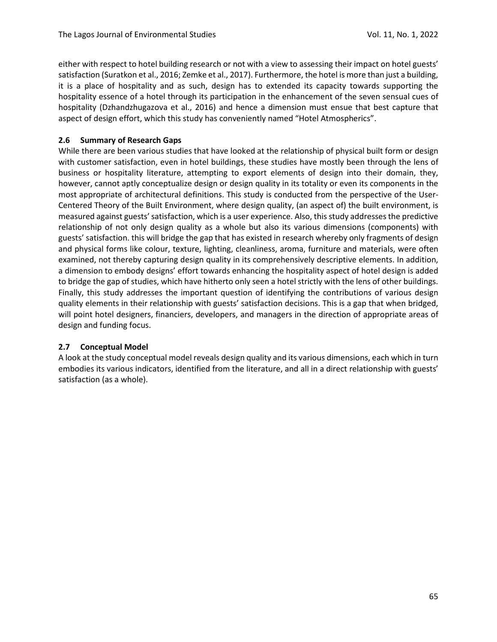either with respect to hotel building research or not with a view to assessing their impact on hotel guests' satisfaction (Suratkon et al., 2016; Zemke et al., 2017). Furthermore, the hotel is more than just a building, it is a place of hospitality and as such, design has to extended its capacity towards supporting the hospitality essence of a hotel through its participation in the enhancement of the seven sensual cues of hospitality (Dzhandzhugazova et al., 2016) and hence a dimension must ensue that best capture that aspect of design effort, which this study has conveniently named "Hotel Atmospherics".

## **2.6 Summary of Research Gaps**

While there are been various studies that have looked at the relationship of physical built form or design with customer satisfaction, even in hotel buildings, these studies have mostly been through the lens of business or hospitality literature, attempting to export elements of design into their domain, they, however, cannot aptly conceptualize design or design quality in its totality or even its components in the most appropriate of architectural definitions. This study is conducted from the perspective of the User-Centered Theory of the Built Environment, where design quality, (an aspect of) the built environment, is measured against guests' satisfaction, which is a user experience. Also, this study addresses the predictive relationship of not only design quality as a whole but also its various dimensions (components) with guests' satisfaction. this will bridge the gap that has existed in research whereby only fragments of design and physical forms like colour, texture, lighting, cleanliness, aroma, furniture and materials, were often examined, not thereby capturing design quality in its comprehensively descriptive elements. In addition, a dimension to embody designs' effort towards enhancing the hospitality aspect of hotel design is added to bridge the gap of studies, which have hitherto only seen a hotel strictly with the lens of other buildings. Finally, this study addresses the important question of identifying the contributions of various design quality elements in their relationship with guests' satisfaction decisions. This is a gap that when bridged, will point hotel designers, financiers, developers, and managers in the direction of appropriate areas of design and funding focus.

## **2.7 Conceptual Model**

A look at the study conceptual model reveals design quality and its various dimensions, each which in turn embodies its various indicators, identified from the literature, and all in a direct relationship with guests' satisfaction (as a whole).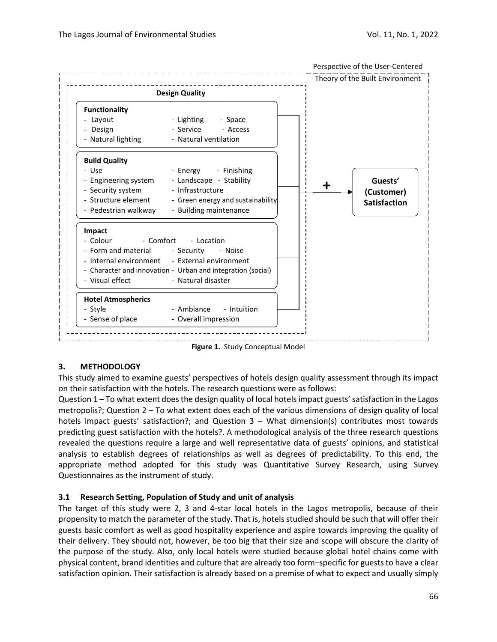

**Figure 1.** Study Conceptual Model

## **3. METHODOLOGY**

This study aimed to examine guests' perspectives of hotels design quality assessment through its impact on their satisfaction with the hotels. The research questions were as follows:

Question 1 – To what extent does the design quality of local hotels impact guests' satisfaction in the Lagos metropolis?; Question 2 – To what extent does each of the various dimensions of design quality of local hotels impact guests' satisfaction?; and Question 3 – What dimension(s) contributes most towards predicting guest satisfaction with the hotels?. A methodological analysis of the three research questions revealed the questions require a large and well representative data of guests' opinions, and statistical analysis to establish degrees of relationships as well as degrees of predictability. To this end, the appropriate method adopted for this study was Quantitative Survey Research, using Survey Questionnaires as the instrument of study.

## **3.1 Research Setting, Population of Study and unit of analysis**

The target of this study were 2, 3 and 4-star local hotels in the Lagos metropolis, because of their propensity to match the parameter of the study. That is, hotels studied should be such that will offer their guests basic comfort as well as good hospitality experience and aspire towards improving the quality of their delivery. They should not, however, be too big that their size and scope will obscure the clarity of the purpose of the study. Also, only local hotels were studied because global hotel chains come with physical content, brand identities and culture that are already too form–specific for guests to have a clear satisfaction opinion. Their satisfaction is already based on a premise of what to expect and usually simply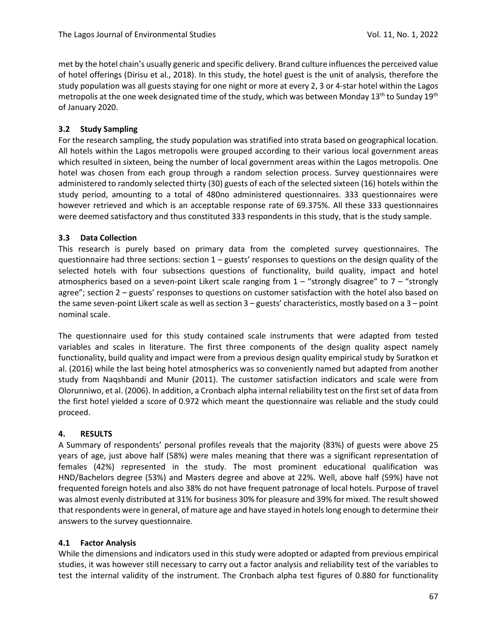met by the hotel chain's usually generic and specific delivery. Brand culture influences the perceived value of hotel offerings (Dirisu et al., 2018). In this study, the hotel guest is the unit of analysis, therefore the study population was all guests staying for one night or more at every 2, 3 or 4-star hotel within the Lagos metropolis at the one week designated time of the study, which was between Monday 13<sup>th</sup> to Sunday 19<sup>th</sup> of January 2020.

#### **3.2 Study Sampling**

For the research sampling, the study population was stratified into strata based on geographical location. All hotels within the Lagos metropolis were grouped according to their various local government areas which resulted in sixteen, being the number of local government areas within the Lagos metropolis. One hotel was chosen from each group through a random selection process. Survey questionnaires were administered to randomly selected thirty (30) guests of each of the selected sixteen (16) hotels within the study period, amounting to a total of 480no administered questionnaires. 333 questionnaires were however retrieved and which is an acceptable response rate of 69.375%. All these 333 questionnaires were deemed satisfactory and thus constituted 333 respondents in this study, that is the study sample.

#### **3.3 Data Collection**

This research is purely based on primary data from the completed survey questionnaires. The questionnaire had three sections: section  $1 -$  guests' responses to questions on the design quality of the selected hotels with four subsections questions of functionality, build quality, impact and hotel atmospherics based on a seven-point Likert scale ranging from  $1 -$  "strongly disagree" to  $7 -$  "strongly agree"; section 2 – guests' responses to questions on customer satisfaction with the hotel also based on the same seven-point Likert scale as well as section 3 – guests' characteristics, mostly based on a 3 – point nominal scale.

The questionnaire used for this study contained scale instruments that were adapted from tested variables and scales in literature. The first three components of the design quality aspect namely functionality, build quality and impact were from a previous design quality empirical study by Suratkon et al. (2016) while the last being hotel atmospherics was so conveniently named but adapted from another study from Naqshbandi and Munir (2011). The customer satisfaction indicators and scale were from Olorunniwo, et al. (2006). In addition, a Cronbach alpha internal reliability test on the first set of data from the first hotel yielded a score of 0.972 which meant the questionnaire was reliable and the study could proceed.

#### **4. RESULTS**

A Summary of respondents' personal profiles reveals that the majority (83%) of guests were above 25 years of age, just above half (58%) were males meaning that there was a significant representation of females (42%) represented in the study. The most prominent educational qualification was HND/Bachelors degree (53%) and Masters degree and above at 22%. Well, above half (59%) have not frequented foreign hotels and also 38% do not have frequent patronage of local hotels. Purpose of travel was almost evenly distributed at 31% for business 30% for pleasure and 39% for mixed. The result showed that respondents were in general, of mature age and have stayed in hotels long enough to determine their answers to the survey questionnaire.

#### **4.1 Factor Analysis**

While the dimensions and indicators used in this study were adopted or adapted from previous empirical studies, it was however still necessary to carry out a factor analysis and reliability test of the variables to test the internal validity of the instrument. The Cronbach alpha test figures of 0.880 for functionality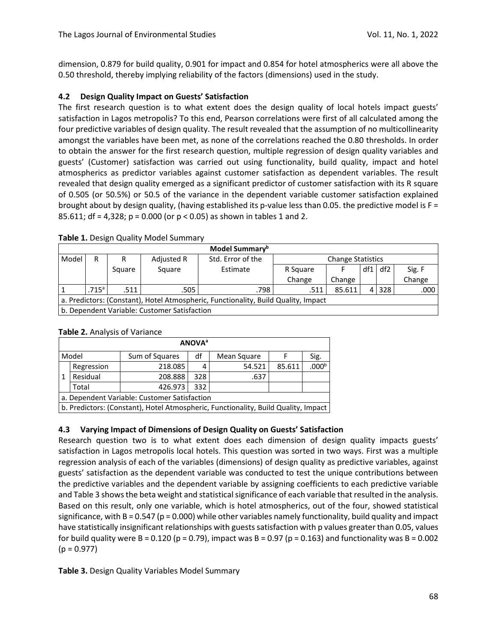dimension, 0.879 for build quality, 0.901 for impact and 0.854 for hotel atmospherics were all above the 0.50 threshold, thereby implying reliability of the factors (dimensions) used in the study.

#### **4.2 Design Quality Impact on Guests' Satisfaction**

The first research question is to what extent does the design quality of local hotels impact guests' satisfaction in Lagos metropolis? To this end, Pearson correlations were first of all calculated among the four predictive variables of design quality. The result revealed that the assumption of no multicollinearity amongst the variables have been met, as none of the correlations reached the 0.80 thresholds. In order to obtain the answer for the first research question, multiple regression of design quality variables and guests' (Customer) satisfaction was carried out using functionality, build quality, impact and hotel atmospherics as predictor variables against customer satisfaction as dependent variables. The result revealed that design quality emerged as a significant predictor of customer satisfaction with its R square of 0.505 (or 50.5%) or 50.5 of the variance in the dependent variable customer satisfaction explained brought about by design quality, (having established its p-value less than 0.05. the predictive model is  $F =$ 85.611; df = 4,328; p = 0.000 (or p < 0.05) as shown in tables 1 and 2.

| Model Summary <sup>b</sup>                                                         |                                              |        |            |                   |                          |        |     |     |        |  |
|------------------------------------------------------------------------------------|----------------------------------------------|--------|------------|-------------------|--------------------------|--------|-----|-----|--------|--|
| Model                                                                              | R                                            |        | Adjusted R | Std. Error of the | <b>Change Statistics</b> |        |     |     |        |  |
|                                                                                    |                                              | Square | Square     | Estimate          | R Square                 |        | df1 | df2 | Sig. F |  |
|                                                                                    |                                              |        |            |                   | Change                   | Change |     |     | Change |  |
|                                                                                    | .715a                                        | .511   | .505       | .798              | .511                     | 85.611 | 4   | 328 | .000   |  |
| a. Predictors: (Constant), Hotel Atmospheric, Functionality, Build Quality, Impact |                                              |        |            |                   |                          |        |     |     |        |  |
|                                                                                    | b. Dependent Variable: Customer Satisfaction |        |            |                   |                          |        |     |     |        |  |

#### **Table 1.** Design Quality Model Summary

| Table 2. Analysis of Variance |  |
|-------------------------------|--|
|                               |  |

|   | <b>ANOVA</b> <sup>a</sup>                    |                                                                                    |     |             |        |                   |  |  |  |  |  |
|---|----------------------------------------------|------------------------------------------------------------------------------------|-----|-------------|--------|-------------------|--|--|--|--|--|
|   | Model                                        | df<br>Sum of Squares                                                               |     | Mean Square |        | Sig.              |  |  |  |  |  |
|   | Regression                                   | 218.085                                                                            | 4   | 54.521      | 85.611 | .000 <sup>b</sup> |  |  |  |  |  |
| 1 | Residual                                     | 208.888                                                                            | 328 | .637        |        |                   |  |  |  |  |  |
|   | Total                                        | 426.973                                                                            | 332 |             |        |                   |  |  |  |  |  |
|   | a. Dependent Variable: Customer Satisfaction |                                                                                    |     |             |        |                   |  |  |  |  |  |
|   |                                              | b. Predictors: (Constant), Hotel Atmospheric, Functionality, Build Quality, Impact |     |             |        |                   |  |  |  |  |  |

## **4.3 Varying Impact of Dimensions of Design Quality on Guests' Satisfaction**

Research question two is to what extent does each dimension of design quality impacts guests' satisfaction in Lagos metropolis local hotels. This question was sorted in two ways. First was a multiple regression analysis of each of the variables (dimensions) of design quality as predictive variables, against guests' satisfaction as the dependent variable was conducted to test the unique contributions between the predictive variables and the dependent variable by assigning coefficients to each predictive variable and Table 3 shows the beta weight and statistical significance of each variable that resulted in the analysis. Based on this result, only one variable, which is hotel atmospherics, out of the four, showed statistical significance, with B = 0.547 ( $p = 0.000$ ) while other variables namely functionality, build quality and impact have statistically insignificant relationships with guests satisfaction with p values greater than 0.05, values for build quality were B = 0.120 (p = 0.79), impact was B = 0.97 (p = 0.163) and functionality was B = 0.002  $(p = 0.977)$ 

**Table 3.** Design Quality Variables Model Summary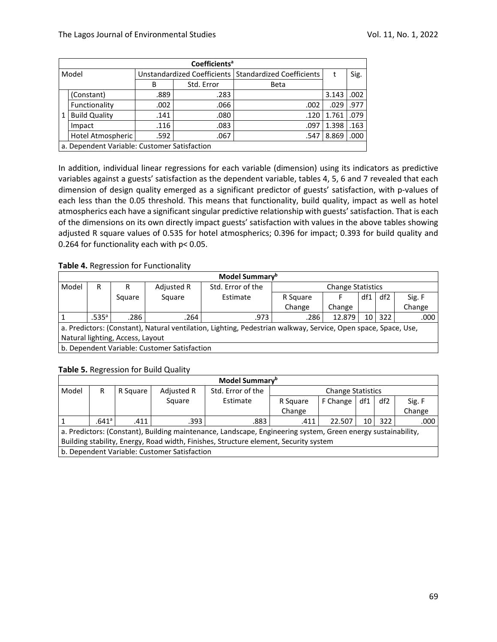|       | Coefficients <sup>a</sup>                    |      |                             |                                  |       |      |  |  |  |  |  |
|-------|----------------------------------------------|------|-----------------------------|----------------------------------|-------|------|--|--|--|--|--|
| Model |                                              |      | Unstandardized Coefficients | <b>Standardized Coefficients</b> |       | Sig. |  |  |  |  |  |
|       |                                              | B    | Std. Error                  | Beta                             |       |      |  |  |  |  |  |
|       | (Constant)                                   | .889 | .283                        |                                  | 3.143 | .002 |  |  |  |  |  |
|       | Functionality                                | .002 | .066                        | .002                             | .029  | .977 |  |  |  |  |  |
| 1     | <b>Build Quality</b>                         | .141 | .080                        | .120                             | 1.761 | .079 |  |  |  |  |  |
|       | Impact                                       | .116 | .083                        | .097                             | 1.398 | .163 |  |  |  |  |  |
|       | Hotel Atmospheric                            | .592 | .067                        | .547                             | 8.869 | .000 |  |  |  |  |  |
|       | a. Dependent Variable: Customer Satisfaction |      |                             |                                  |       |      |  |  |  |  |  |

In addition, individual linear regressions for each variable (dimension) using its indicators as predictive variables against a guests' satisfaction as the dependent variable, tables 4, 5, 6 and 7 revealed that each dimension of design quality emerged as a significant predictor of guests' satisfaction, with p-values of each less than the 0.05 threshold. This means that functionality, build quality, impact as well as hotel atmospherics each have a significant singular predictive relationship with guests' satisfaction. That is each of the dimensions on its own directly impact guests' satisfaction with values in the above tables showing adjusted R square values of 0.535 for hotel atmospherics; 0.396 for impact; 0.393 for build quality and 0.264 for functionality each with p< 0.05.

#### **Table 4.** Regression for Functionality

| Model Summary <sup>b</sup>                                                                                     |                   |        |            |                   |                          |        |     |     |        |
|----------------------------------------------------------------------------------------------------------------|-------------------|--------|------------|-------------------|--------------------------|--------|-----|-----|--------|
| Model                                                                                                          | R                 | R      | Adjusted R | Std. Error of the | <b>Change Statistics</b> |        |     |     |        |
|                                                                                                                |                   | Square | Square     | Estimate          | R Square                 |        | df1 | df2 | Sig. F |
|                                                                                                                |                   |        |            |                   | Change                   | Change |     |     | Change |
|                                                                                                                | .535 <sup>a</sup> | .286   | .264       | .973              | .286                     | 12.879 | 10  | 322 | .000   |
| a. Predictors: (Constant), Natural ventilation, Lighting, Pedestrian walkway, Service, Open space, Space, Use, |                   |        |            |                   |                          |        |     |     |        |
| Natural lighting, Access, Layout                                                                               |                   |        |            |                   |                          |        |     |     |        |
| b. Dependent Variable: Customer Satisfaction                                                                   |                   |        |            |                   |                          |        |     |     |        |

#### **Table 5.** Regression for Build Quality

| Model Summary <sup>b</sup>                                                           |                                                                                                              |          |            |                   |                          |          |     |     |        |  |
|--------------------------------------------------------------------------------------|--------------------------------------------------------------------------------------------------------------|----------|------------|-------------------|--------------------------|----------|-----|-----|--------|--|
| Model                                                                                | R                                                                                                            | R Square | Adjusted R | Std. Error of the | <b>Change Statistics</b> |          |     |     |        |  |
|                                                                                      |                                                                                                              |          | Square     | Estimate          | R Square                 | F Change | df1 | df2 | Sig. F |  |
|                                                                                      |                                                                                                              |          |            |                   | Change                   |          |     |     | Change |  |
|                                                                                      | $.641^{\circ}$                                                                                               | .411     | .393       | .883              | .411                     | 22.507   | 10  | 322 | .000   |  |
|                                                                                      | a. Predictors: (Constant), Building maintenance, Landscape, Engineering system, Green energy sustainability, |          |            |                   |                          |          |     |     |        |  |
| Building stability, Energy, Road width, Finishes, Structure element, Security system |                                                                                                              |          |            |                   |                          |          |     |     |        |  |
| b. Dependent Variable: Customer Satisfaction                                         |                                                                                                              |          |            |                   |                          |          |     |     |        |  |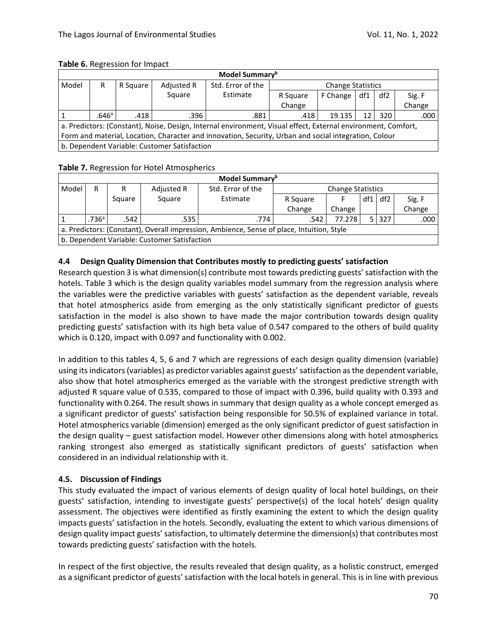| Model Summary <sup>b</sup>                                                                            |                                                                                                               |          |            |                   |                          |          |     |                 |        |  |
|-------------------------------------------------------------------------------------------------------|---------------------------------------------------------------------------------------------------------------|----------|------------|-------------------|--------------------------|----------|-----|-----------------|--------|--|
| Model                                                                                                 | R                                                                                                             | R Square | Adjusted R | Std. Error of the | <b>Change Statistics</b> |          |     |                 |        |  |
|                                                                                                       |                                                                                                               |          | Square     | Estimate          | R Square                 | F Change | df1 | df <sub>2</sub> | Sig. F |  |
|                                                                                                       |                                                                                                               |          |            |                   | Change                   |          |     |                 | Change |  |
|                                                                                                       | .646a                                                                                                         | .418     | .396       | .881              | .418                     | 19.135   |     | 320             | .000   |  |
|                                                                                                       | a. Predictors: (Constant), Noise, Design, Internal environment, Visual effect, External environment, Comfort, |          |            |                   |                          |          |     |                 |        |  |
| Form and material, Location, Character and innovation, Security, Urban and social integration, Colour |                                                                                                               |          |            |                   |                          |          |     |                 |        |  |
| b. Dependent Variable: Customer Satisfaction                                                          |                                                                                                               |          |            |                   |                          |          |     |                 |        |  |

#### **Table 6.** Regression for Impact

#### **Table 7.** Regression for Hotel Atmospherics

| Model Summary <sup>b</sup>                                                                |                   |        |            |                   |                          |        |     |       |        |
|-------------------------------------------------------------------------------------------|-------------------|--------|------------|-------------------|--------------------------|--------|-----|-------|--------|
| Model                                                                                     | R                 |        | Adjusted R | Std. Error of the | <b>Change Statistics</b> |        |     |       |        |
|                                                                                           |                   | Square | Square     | Estimate          | R Square                 |        | df1 | df2   | Sig. F |
|                                                                                           |                   |        |            |                   | Change                   | Change |     |       | Change |
|                                                                                           | .736 <sup>a</sup> | .542   | .535       | .774              | .542                     | 77.278 |     | 5 327 | .000   |
| a. Predictors: (Constant), Overall impression, Ambience, Sense of place, Intuition, Style |                   |        |            |                   |                          |        |     |       |        |
| b. Dependent Variable: Customer Satisfaction                                              |                   |        |            |                   |                          |        |     |       |        |

#### **4.4 Design Quality Dimension that Contributes mostly to predicting guests' satisfaction**

Research question 3 is what dimension(s) contribute most towards predicting guests' satisfaction with the hotels. Table 3 which is the design quality variables model summary from the regression analysis where the variables were the predictive variables with guests' satisfaction as the dependent variable, reveals that hotel atmospherics aside from emerging as the only statistically significant predictor of guests satisfaction in the model is also shown to have made the major contribution towards design quality predicting guests' satisfaction with its high beta value of 0.547 compared to the others of build quality which is 0.120, impact with 0.097 and functionality with 0.002.

In addition to this tables 4, 5, 6 and 7 which are regressions of each design quality dimension (variable) using its indicators (variables) as predictor variables against guests' satisfaction as the dependent variable, also show that hotel atmospherics emerged as the variable with the strongest predictive strength with adjusted R square value of 0.535, compared to those of impact with 0.396, build quality with 0.393 and functionality with 0.264. The result shows in summary that design quality as a whole concept emerged as a significant predictor of guests' satisfaction being responsible for 50.5% of explained variance in total. Hotel atmospherics variable (dimension) emerged as the only significant predictor of guest satisfaction in the design quality – guest satisfaction model. However other dimensions along with hotel atmospherics ranking strongest also emerged as statistically significant predictors of guests' satisfaction when considered in an individual relationship with it.

#### **4.5. Discussion of Findings**

This study evaluated the impact of various elements of design quality of local hotel buildings, on their guests' satisfaction, intending to investigate guests' perspective(s) of the local hotels' design quality assessment. The objectives were identified as firstly examining the extent to which the design quality impacts guests' satisfaction in the hotels. Secondly, evaluating the extent to which various dimensions of design quality impact guests' satisfaction, to ultimately determine the dimension(s) that contributes most towards predicting guests' satisfaction with the hotels.

In respect of the first objective, the results revealed that design quality, as a holistic construct, emerged as a significant predictor of guests' satisfaction with the local hotels in general. This is in line with previous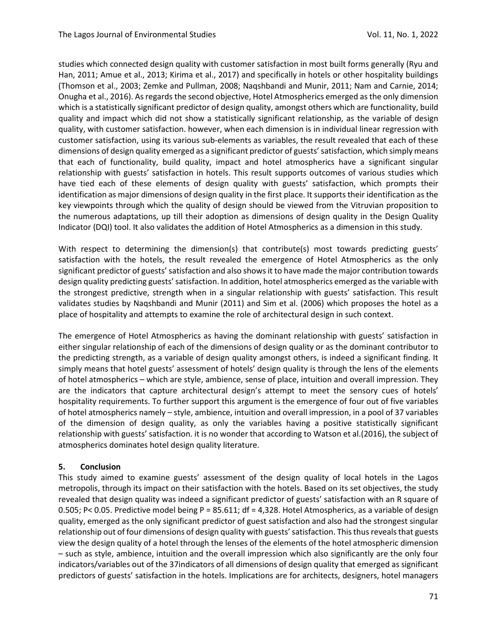studies which connected design quality with customer satisfaction in most built forms generally (Ryu and Han, 2011; Amue et al., 2013; Kirima et al., 2017) and specifically in hotels or other hospitality buildings (Thomson et al., 2003; Zemke and Pullman, 2008; Naqshbandi and Munir, 2011; Nam and Carnie, 2014; Onugha et al., 2016). As regards the second objective, Hotel Atmospherics emerged as the only dimension which is a statistically significant predictor of design quality, amongst others which are functionality, build quality and impact which did not show a statistically significant relationship, as the variable of design quality, with customer satisfaction. however, when each dimension is in individual linear regression with customer satisfaction, using its various sub-elements as variables, the result revealed that each of these dimensions of design quality emerged as a significant predictor of guests' satisfaction, which simply means that each of functionality, build quality, impact and hotel atmospherics have a significant singular relationship with guests' satisfaction in hotels. This result supports outcomes of various studies which have tied each of these elements of design quality with guests' satisfaction, which prompts their identification as major dimensions of design quality in the first place. It supports their identification as the key viewpoints through which the quality of design should be viewed from the Vitruvian proposition to the numerous adaptations, up till their adoption as dimensions of design quality in the Design Quality Indicator (DQI) tool. It also validates the addition of Hotel Atmospherics as a dimension in this study.

With respect to determining the dimension(s) that contribute(s) most towards predicting guests' satisfaction with the hotels, the result revealed the emergence of Hotel Atmospherics as the only significant predictor of guests' satisfaction and also shows it to have made the major contribution towards design quality predicting guests' satisfaction. In addition, hotel atmospherics emerged as the variable with the strongest predictive, strength when in a singular relationship with guests' satisfaction. This result validates studies by Naqshbandi and Munir (2011) and Sim et al. (2006) which proposes the hotel as a place of hospitality and attempts to examine the role of architectural design in such context.

The emergence of Hotel Atmospherics as having the dominant relationship with guests' satisfaction in either singular relationship of each of the dimensions of design quality or as the dominant contributor to the predicting strength, as a variable of design quality amongst others, is indeed a significant finding. It simply means that hotel guests' assessment of hotels' design quality is through the lens of the elements of hotel atmospherics – which are style, ambience, sense of place, intuition and overall impression. They are the indicators that capture architectural design's attempt to meet the sensory cues of hotels' hospitality requirements. To further support this argument is the emergence of four out of five variables of hotel atmospherics namely – style, ambience, intuition and overall impression, in a pool of 37 variables of the dimension of design quality, as only the variables having a positive statistically significant relationship with guests' satisfaction. it is no wonder that according to Watson et al.(2016), the subject of atmospherics dominates hotel design quality literature.

#### **5. Conclusion**

This study aimed to examine guests' assessment of the design quality of local hotels in the Lagos metropolis, through its impact on their satisfaction with the hotels. Based on its set objectives, the study revealed that design quality was indeed a significant predictor of guests' satisfaction with an R square of 0.505; P< 0.05. Predictive model being P = 85.611; df = 4,328. Hotel Atmospherics, as a variable of design quality, emerged as the only significant predictor of guest satisfaction and also had the strongest singular relationship out of four dimensions of design quality with guests' satisfaction. This thus reveals that guests view the design quality of a hotel through the lenses of the elements of the hotel atmospheric dimension – such as style, ambience, intuition and the overall impression which also significantly are the only four indicators/variables out of the 37indicators of all dimensions of design quality that emerged as significant predictors of guests' satisfaction in the hotels. Implications are for architects, designers, hotel managers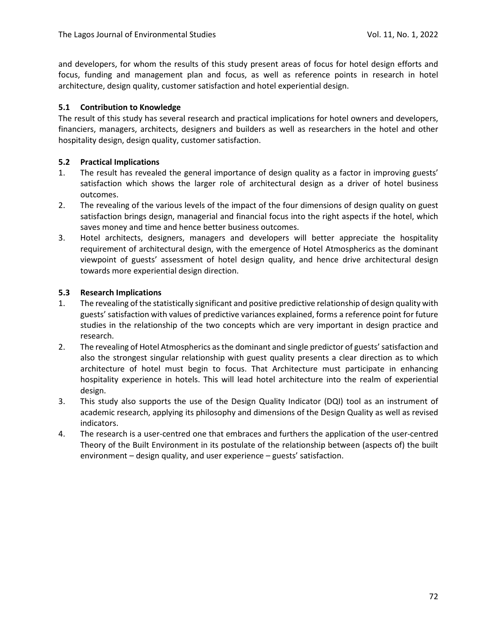and developers, for whom the results of this study present areas of focus for hotel design efforts and focus, funding and management plan and focus, as well as reference points in research in hotel architecture, design quality, customer satisfaction and hotel experiential design.

#### **5.1 Contribution to Knowledge**

The result of this study has several research and practical implications for hotel owners and developers, financiers, managers, architects, designers and builders as well as researchers in the hotel and other hospitality design, design quality, customer satisfaction.

#### **5.2 Practical Implications**

- 1. The result has revealed the general importance of design quality as a factor in improving guests' satisfaction which shows the larger role of architectural design as a driver of hotel business outcomes.
- 2. The revealing of the various levels of the impact of the four dimensions of design quality on guest satisfaction brings design, managerial and financial focus into the right aspects if the hotel, which saves money and time and hence better business outcomes.
- 3. Hotel architects, designers, managers and developers will better appreciate the hospitality requirement of architectural design, with the emergence of Hotel Atmospherics as the dominant viewpoint of guests' assessment of hotel design quality, and hence drive architectural design towards more experiential design direction.

## **5.3 Research Implications**

- 1. The revealing of the statistically significant and positive predictive relationship of design quality with guests' satisfaction with values of predictive variances explained, forms a reference point for future studies in the relationship of the two concepts which are very important in design practice and research.
- 2. The revealing of Hotel Atmospherics as the dominant and single predictor of guests' satisfaction and also the strongest singular relationship with guest quality presents a clear direction as to which architecture of hotel must begin to focus. That Architecture must participate in enhancing hospitality experience in hotels. This will lead hotel architecture into the realm of experiential design.
- 3. This study also supports the use of the Design Quality Indicator (DQI) tool as an instrument of academic research, applying its philosophy and dimensions of the Design Quality as well as revised indicators.
- 4. The research is a user-centred one that embraces and furthers the application of the user-centred Theory of the Built Environment in its postulate of the relationship between (aspects of) the built environment – design quality, and user experience – guests' satisfaction.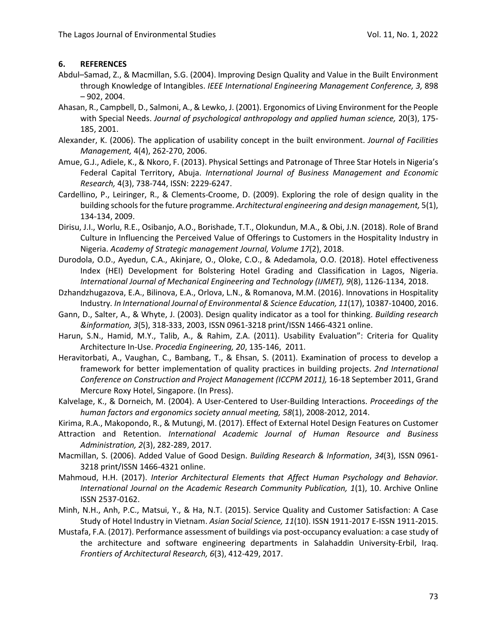#### **6. REFERENCES**

- Abdul–Samad, Z., & Macmillan, S.G. (2004). Improving Design Quality and Value in the Built Environment through Knowledge of Intangibles. *IEEE International Engineering Management Conference, 3,* 898 – 902, 2004.
- Ahasan, R., Campbell, D., Salmoni, A., & Lewko, J. (2001). Ergonomics of Living Environment for the People with Special Needs. *Journal of psychological anthropology and applied human science,* 20(3), 175- 185, 2001.
- Alexander, K. (2006). The application of usability concept in the built environment. *Journal of Facilities Management,* 4(4), 262-270, 2006.
- Amue, G.J., Adiele, K., & Nkoro, F. (2013). Physical Settings and Patronage of Three Star Hotels in Nigeria's Federal Capital Territory, Abuja. *International Journal of Business Management and Economic Research,* 4(3), 738-744, ISSN: 2229-6247.
- Cardellino, P., Leiringer, R., & Clements-Croome, D. (2009). Exploring the role of design quality in the building schools for the future programme. *Architectural engineering and design management,* 5(1), 134-134, 2009.
- Dirisu, J.I., Worlu, R.E., Osibanjo, A.O., Borishade, T.T., Olokundun, M.A., & Obi, J.N. (2018). Role of Brand Culture in Influencing the Perceived Value of Offerings to Customers in the Hospitality Industry in Nigeria. *Academy of Strategic management Journal, Volume 17*(2), 2018.
- Durodola, O.D., Ayedun, C.A., Akinjare, O., Oloke, C.O., & Adedamola, O.O. (2018). Hotel effectiveness Index (HEI) Development for Bolstering Hotel Grading and Classification in Lagos, Nigeria. *International Journal of Mechanical Engineering and Technology (IJMET), 9*(8), 1126-1134, 2018.
- Dzhandzhugazova, E.A., Bilinova, E.A., Orlova, L.N., & Romanova, M.M. (2016). Innovations in Hospitality Industry*. In International Journal of Environmental & Science Education, 11*(17), 10387-10400, 2016.
- Gann, D., Salter, A., & Whyte, J. (2003). Design quality indicator as a tool for thinking. *Building research &information, 3*(5), 318-333, 2003, ISSN 0961-3218 print/ISSN 1466-4321 online.
- Harun, S.N., Hamid, M.Y., Talib, A., & Rahim, Z.A. (2011). Usability Evaluation": Criteria for Quality Architecture In-Use. *Procedia Engineering, 20*, 135-146, 2011.
- Heravitorbati, A., Vaughan, C., Bambang, T., & Ehsan, S. (2011). Examination of process to develop a framework for better implementation of quality practices in building projects. *2nd International Conference on Construction and Project Management (ICCPM 2011),* 16-18 September 2011, Grand Mercure Roxy Hotel, Singapore. (In Press).
- Kalvelage, K., & Dorneich, M. (2004). A User-Centered to User-Building Interactions. *Proceedings of the human factors and ergonomics society annual meeting, 58*(1), 2008-2012, 2014.
- Kirima, R.A., Makopondo, R., & Mutungi, M. (2017). Effect of External Hotel Design Features on Customer
- Attraction and Retention. *International Academic Journal of Human Resource and Business Administration, 2*(3), 282-289, 2017.
- Macmillan, S. (2006). Added Value of Good Design. *Building Research & Information*, *34*(3), ISSN 0961- 3218 print/ISSN 1466-4321 online.
- Mahmoud, H.H. (2017). *Interior Architectural Elements that Affect Human Psychology and Behavior. International Journal on the Academic Research Community Publication, 1*(1), 10. Archive Online ISSN 2537-0162.
- Minh, N.H., Anh, P.C., Matsui, Y., & Ha, N.T. (2015). Service Quality and Customer Satisfaction: A Case Study of Hotel Industry in Vietnam. *Asian Social Science, 11*(10). ISSN 1911-2017 E-ISSN 1911-2015.
- Mustafa, F.A. (2017). Performance assessment of buildings via post-occupancy evaluation: a case study of the architecture and software engineering departments in Salahaddin University-Erbil, Iraq. *Frontiers of Architectural Research, 6*(3), 412-429, 2017.